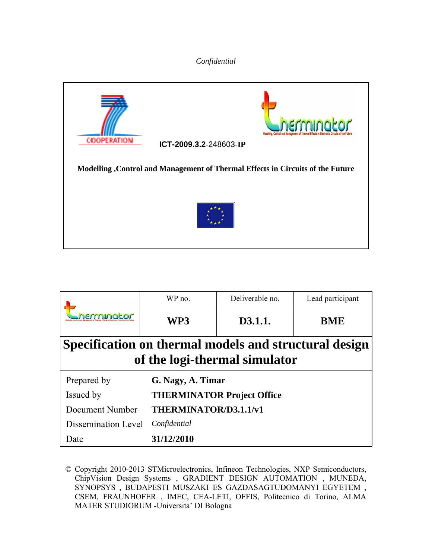*Confidential* 



|                                                       | WP no.                | Deliverable no.                   | Lead participant |  |
|-------------------------------------------------------|-----------------------|-----------------------------------|------------------|--|
| erminator                                             | WP3<br>D3.1.1.        |                                   | <b>BME</b>       |  |
| Specification on thermal models and structural design |                       |                                   |                  |  |
| of the logi-thermal simulator                         |                       |                                   |                  |  |
| Prepared by                                           | G. Nagy, A. Timar     |                                   |                  |  |
| Issued by                                             |                       | <b>THERMINATOR Project Office</b> |                  |  |
| Document Number                                       | THERMINATOR/D3.1.1/v1 |                                   |                  |  |
| Dissemination Level                                   | Confidential          |                                   |                  |  |
| Date                                                  | 31/12/2010            |                                   |                  |  |

© Copyright 2010-2013 STMicroelectronics, Infineon Technologies, NXP Semiconductors, ChipVision Design Systems , GRADIENT DESIGN AUTOMATION , MUNEDA, SYNOPSYS , BUDAPESTI MUSZAKI ES GAZDASAGTUDOMANYI EGYETEM , CSEM, FRAUNHOFER , IMEC, CEA-LETI, OFFIS, Politecnico di Torino, ALMA MATER STUDIORUM -Universita' DI Bologna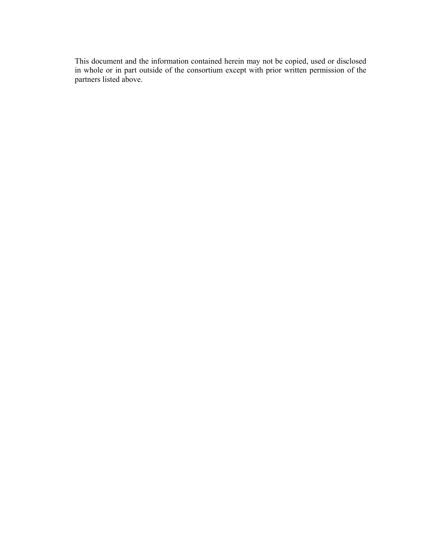This document and the information contained herein may not be copied, used or disclosed in whole or in part outside of the consortium except with prior written permission of the partners listed above.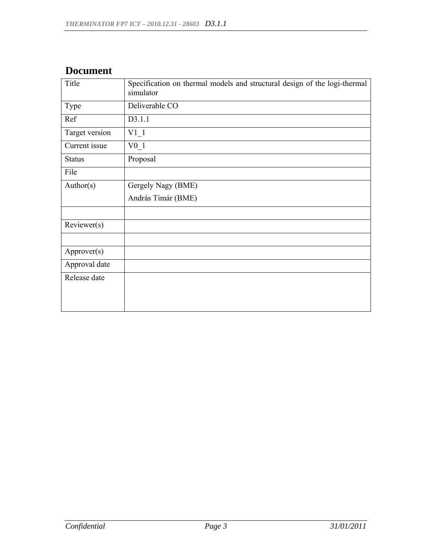# **Document**

| Title          | Specification on thermal models and structural design of the logi-thermal<br>simulator |
|----------------|----------------------------------------------------------------------------------------|
| Type           | Deliverable CO                                                                         |
| Ref            | D3.1.1                                                                                 |
| Target version | $V1_{1}$                                                                               |
| Current issue  | $V0_1$                                                                                 |
| <b>Status</b>  | Proposal                                                                               |
| File           |                                                                                        |
| Author(s)      | Gergely Nagy (BME)                                                                     |
|                | András Timár (BME)                                                                     |
|                |                                                                                        |
| Reviewer(s)    |                                                                                        |
|                |                                                                                        |
| Approver(s)    |                                                                                        |
| Approval date  |                                                                                        |
| Release date   |                                                                                        |
|                |                                                                                        |
|                |                                                                                        |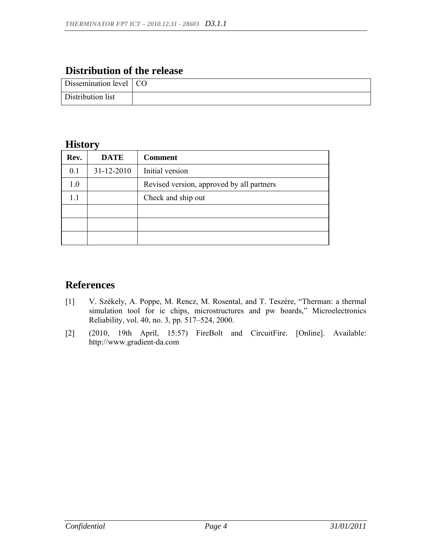### **Distribution of the release**

| Dissemination level   CO |  |
|--------------------------|--|
| Distribution list        |  |

### **History**

| Rev. | <b>DATE</b> | <b>Comment</b>                            |
|------|-------------|-------------------------------------------|
| 0.1  | 31-12-2010  | Initial version                           |
| 1.0  |             | Revised version, approved by all partners |
| 1.1  |             | Check and ship out                        |
|      |             |                                           |
|      |             |                                           |
|      |             |                                           |

### **References**

- [1] V. Székely, A. Poppe, M. Rencz, M. Rosental, and T. Teszére, "Therman: a thermal simulation tool for ic chips, microstructures and pw boards," Microelectronics Reliability, vol. 40, no. 3, pp. 517–524, 2000.
- [2] (2010, 19th April, 15:57) FireBolt and CircuitFire. [Online]. Available: http://www.gradient-da.com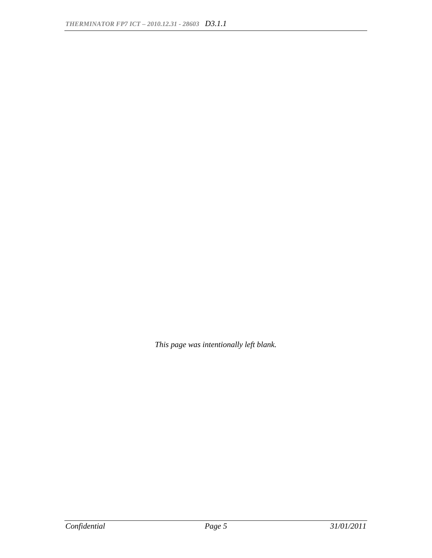*This page was intentionally left blank.*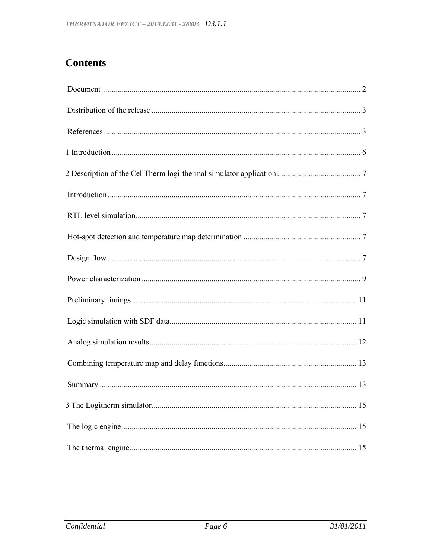# **Contents**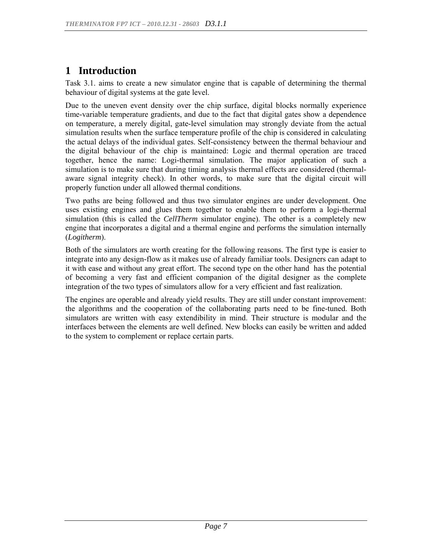# **1 Introduction**

Task 3.1. aims to create a new simulator engine that is capable of determining the thermal behaviour of digital systems at the gate level.

Due to the uneven event density over the chip surface, digital blocks normally experience time-variable temperature gradients, and due to the fact that digital gates show a dependence on temperature, a merely digital, gate-level simulation may strongly deviate from the actual simulation results when the surface temperature profile of the chip is considered in calculating the actual delays of the individual gates. Self-consistency between the thermal behaviour and the digital behaviour of the chip is maintained: Logic and thermal operation are traced together, hence the name: Logi-thermal simulation. The major application of such a simulation is to make sure that during timing analysis thermal effects are considered (thermalaware signal integrity check). In other words, to make sure that the digital circuit will properly function under all allowed thermal conditions.

Two paths are being followed and thus two simulator engines are under development. One uses existing engines and glues them together to enable them to perform a logi-thermal simulation (this is called the *CellTherm* simulator engine). The other is a completely new engine that incorporates a digital and a thermal engine and performs the simulation internally (*Logitherm*).

Both of the simulators are worth creating for the following reasons. The first type is easier to integrate into any design-flow as it makes use of already familiar tools. Designers can adapt to it with ease and without any great effort. The second type on the other hand has the potential of becoming a very fast and efficient companion of the digital designer as the complete integration of the two types of simulators allow for a very efficient and fast realization.

The engines are operable and already yield results. They are still under constant improvement: the algorithms and the cooperation of the collaborating parts need to be fine-tuned. Both simulators are written with easy extendibility in mind. Their structure is modular and the interfaces between the elements are well defined. New blocks can easily be written and added to the system to complement or replace certain parts.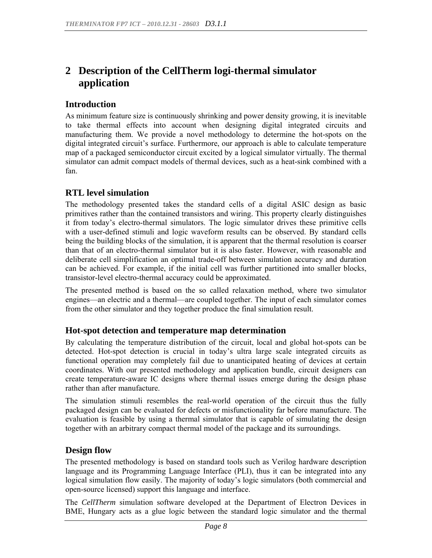# **2 Description of the CellTherm logi-thermal simulator application**

#### **Introduction**

As minimum feature size is continuously shrinking and power density growing, it is inevitable to take thermal effects into account when designing digital integrated circuits and manufacturing them. We provide a novel methodology to determine the hot-spots on the digital integrated circuit's surface. Furthermore, our approach is able to calculate temperature map of a packaged semiconductor circuit excited by a logical simulator virtually. The thermal simulator can admit compact models of thermal devices, such as a heat-sink combined with a fan.

#### **RTL level simulation**

The methodology presented takes the standard cells of a digital ASIC design as basic primitives rather than the contained transistors and wiring. This property clearly distinguishes it from today's electro-thermal simulators. The logic simulator drives these primitive cells with a user-defined stimuli and logic waveform results can be observed. By standard cells being the building blocks of the simulation, it is apparent that the thermal resolution is coarser than that of an electro-thermal simulator but it is also faster. However, with reasonable and deliberate cell simplification an optimal trade-off between simulation accuracy and duration can be achieved. For example, if the initial cell was further partitioned into smaller blocks, transistor-level electro-thermal accuracy could be approximated.

The presented method is based on the so called relaxation method, where two simulator engines—an electric and a thermal—are coupled together. The input of each simulator comes from the other simulator and they together produce the final simulation result.

#### **Hot-spot detection and temperature map determination**

By calculating the temperature distribution of the circuit, local and global hot-spots can be detected. Hot-spot detection is crucial in today's ultra large scale integrated circuits as functional operation may completely fail due to unanticipated heating of devices at certain coordinates. With our presented methodology and application bundle, circuit designers can create temperature-aware IC designs where thermal issues emerge during the design phase rather than after manufacture.

The simulation stimuli resembles the real-world operation of the circuit thus the fully packaged design can be evaluated for defects or misfunctionality far before manufacture. The evaluation is feasible by using a thermal simulator that is capable of simulating the design together with an arbitrary compact thermal model of the package and its surroundings.

#### **Design flow**

The presented methodology is based on standard tools such as Verilog hardware description language and its Programming Language Interface (PLI), thus it can be integrated into any logical simulation flow easily. The majority of today's logic simulators (both commercial and open-source licensed) support this language and interface.

The *CellTherm* simulation software developed at the Department of Electron Devices in BME, Hungary acts as a glue logic between the standard logic simulator and the thermal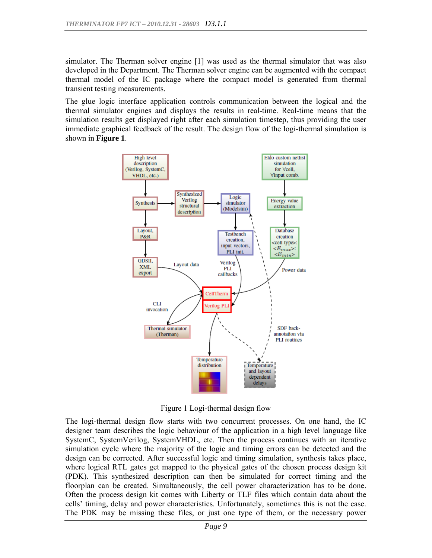simulator. The Therman solver engine [1] was used as the thermal simulator that was also developed in the Department. The Therman solver engine can be augmented with the compact thermal model of the IC package where the compact model is generated from thermal transient testing measurements.

The glue logic interface application controls communication between the logical and the thermal simulator engines and displays the results in real-time. Real-time means that the simulation results get displayed right after each simulation timestep, thus providing the user immediate graphical feedback of the result. The design flow of the logi-thermal simulation is shown in **Figure 1**.



Figure 1 Logi-thermal design flow

The logi-thermal design flow starts with two concurrent processes. On one hand, the IC designer team describes the logic behaviour of the application in a high level language like SystemC, SystemVerilog, SystemVHDL, etc. Then the process continues with an iterative simulation cycle where the majority of the logic and timing errors can be detected and the design can be corrected. After successful logic and timing simulation, synthesis takes place, where logical RTL gates get mapped to the physical gates of the chosen process design kit (PDK). This synthesized description can then be simulated for correct timing and the floorplan can be created. Simultaneously, the cell power characterization has to be done. Often the process design kit comes with Liberty or TLF files which contain data about the cells' timing, delay and power characteristics. Unfortunately, sometimes this is not the case. The PDK may be missing these files, or just one type of them, or the necessary power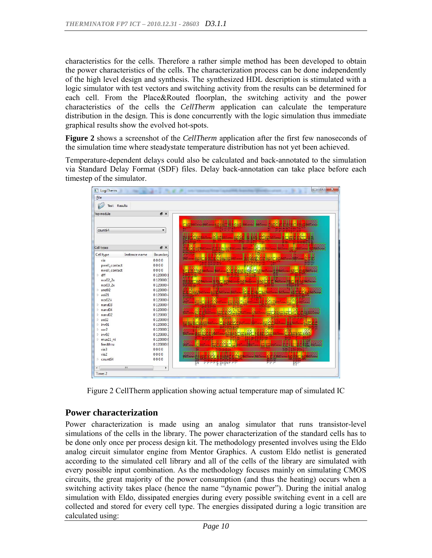characteristics for the cells. Therefore a rather simple method has been developed to obtain the power characteristics of the cells. The characterization process can be done independently of the high level design and synthesis. The synthesized HDL description is stimulated with a logic simulator with test vectors and switching activity from the results can be determined for each cell. From the Place&Routed floorplan, the switching activity and the power characteristics of the cells the *CellTherm* application can calculate the temperature distribution in the design. This is done concurrently with the logic simulation thus immediate graphical results show the evolved hot-spots.

**Figure 2** shows a screenshot of the *CellTherm* application after the first few nanoseconds of the simulation time where steadystate temperature distribution has not yet been achieved.

Temperature-dependent delays could also be calculated and back-annotated to the simulation via Standard Delay Format (SDF) files. Delay back-annotation can take place before each timestep of the simulator.

| <b>File</b><br>Test Results |               |                      |                                                              |
|-----------------------------|---------------|----------------------|--------------------------------------------------------------|
| Top module                  |               | $\mathbb{P} \times$  |                                                              |
| count64                     |               | $\blacktriangledown$ |                                                              |
| Cell types                  |               | <b>B</b> X           |                                                              |
| Cell type                   | Instance name | Boundary             |                                                              |
| via                         |               | 0000                 |                                                              |
| pwell_contact               |               | 0000                 |                                                              |
| nwell_contact               |               | 0000                 |                                                              |
| $\triangleright$ dff        |               | 0 120000 1           |                                                              |
| $nor02_2x$                  |               | 0 120000 3           |                                                              |
| nor03_2x                    |               | 0 120000 4           |                                                              |
| $\triangleright$ and 02     |               | 01200004             |                                                              |
| $\triangleright$ aoi21      |               | 01200004             |                                                              |
| nor02ii                     |               | 0 120000 4           |                                                              |
| $\triangleright$ nand03     |               | 0 1 20000 4          |                                                              |
| $\triangleright$ nand04     |               | 0 1 20000 4          |                                                              |
| $\rangle$ nand02            |               | 0 120000 3           |                                                              |
| ao32<br>D.                  |               | 0 120000 6           |                                                              |
| $\triangleright$ inv01      |               | 0 1 20000            |                                                              |
| $\triangleright$ xor2       |               | 0 1 20000            |                                                              |
| $\triangleright$ inv02      |               | 0 120000 2           |                                                              |
| mux21_ni                    |               | 0 120000 6           |                                                              |
| feedthru                    |               | 0 120000 8           | ins.                                                         |
| via3                        |               | 0000                 |                                                              |
| via2                        |               | 0000                 |                                                              |
| $\triangleright$ count 64   |               | 0000                 | H.<br><b>Internal Habsburg</b><br><b>PARTS</b><br><b>FSP</b> |
| $\overline{\phantom{a}}$    | m             | r                    |                                                              |

Figure 2 CellTherm application showing actual temperature map of simulated IC

#### **Power characterization**

Power characterization is made using an analog simulator that runs transistor-level simulations of the cells in the library. The power characterization of the standard cells has to be done only once per process design kit. The methodology presented involves using the Eldo analog circuit simulator engine from Mentor Graphics. A custom Eldo netlist is generated according to the simulated cell library and all of the cells of the library are simulated with every possible input combination. As the methodology focuses mainly on simulating CMOS circuits, the great majority of the power consumption (and thus the heating) occurs when a switching activity takes place (hence the name "dynamic power"). During the initial analog simulation with Eldo, dissipated energies during every possible switching event in a cell are collected and stored for every cell type. The energies dissipated during a logic transition are calculated using: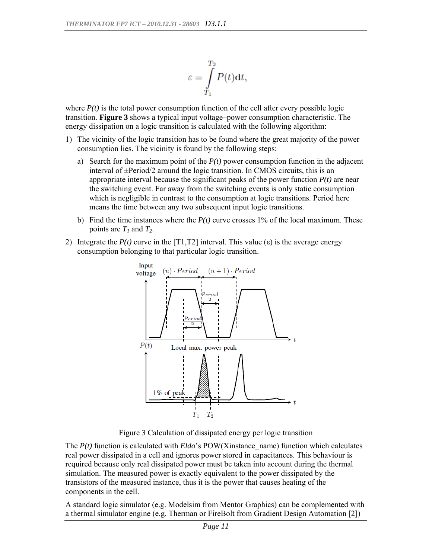$$
\varepsilon = \int\limits_{T_1}^{T_2} P(t) \mathrm{d}t,
$$

where  $P(t)$  is the total power consumption function of the cell after every possible logic transition. **Figure 3** shows a typical input voltage–power consumption characteristic. The energy dissipation on a logic transition is calculated with the following algorithm:

- 1) The vicinity of the logic transition has to be found where the great majority of the power consumption lies. The vicinity is found by the following steps:
	- a) Search for the maximum point of the  $P(t)$  power consumption function in the adjacent interval of ±Period/2 around the logic transition. In CMOS circuits, this is an appropriate interval because the significant peaks of the power function  $P(t)$  are near the switching event. Far away from the switching events is only static consumption which is negligible in contrast to the consumption at logic transitions. Period here means the time between any two subsequent input logic transitions.
	- b) Find the time instances where the  $P(t)$  curve crosses 1% of the local maximum. These points are  $T_1$  and  $T_2$ .
- 2) Integrate the  $P(t)$  curve in the [T1,T2] interval. This value ( $\varepsilon$ ) is the average energy consumption belonging to that particular logic transition.



Figure 3 Calculation of dissipated energy per logic transition

The *P(t)* function is calculated with *Eldo*'s POW(Xinstance\_name) function which calculates real power dissipated in a cell and ignores power stored in capacitances. This behaviour is required because only real dissipated power must be taken into account during the thermal simulation. The measured power is exactly equivalent to the power dissipated by the transistors of the measured instance, thus it is the power that causes heating of the components in the cell.

A standard logic simulator (e.g. Modelsim from Mentor Graphics) can be complemented with a thermal simulator engine (e.g. Therman or FireBolt from Gradient Design Automation [2])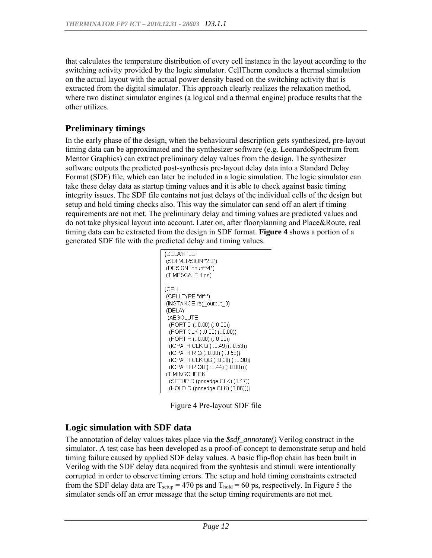that calculates the temperature distribution of every cell instance in the layout according to the switching activity provided by the logic simulator. CellTherm conducts a thermal simulation on the actual layout with the actual power density based on the switching activity that is extracted from the digital simulator. This approach clearly realizes the relaxation method, where two distinct simulator engines (a logical and a thermal engine) produce results that the other utilizes.

### **Preliminary timings**

In the early phase of the design, when the behavioural description gets synthesized, pre-layout timing data can be approximated and the synthesizer software (e.g. LeonardoSpectrum from Mentor Graphics) can extract preliminary delay values from the design. The synthesizer software outputs the predicted post-synthesis pre-layout delay data into a Standard Delay Format (SDF) file, which can later be included in a logic simulation. The logic simulator can take these delay data as startup timing values and it is able to check against basic timing integrity issues. The SDF file contains not just delays of the individual cells of the design but setup and hold timing checks also. This way the simulator can send off an alert if timing requirements are not met. The preliminary delay and timing values are predicted values and do not take physical layout into account. Later on, after floorplanning and Place&Route, real timing data can be extracted from the design in SDF format. **Figure 4** shows a portion of a generated SDF file with the predicted delay and timing values.

| (DELAYFILE<br>(SDFVERSION "2.0")<br>(DESIGN "count64")<br>(TIMESCALE 1 ns)                                                        |  |
|-----------------------------------------------------------------------------------------------------------------------------------|--|
| (CELL<br>(CELLTYPE "dffr")<br>(INSTANCE reg_output_0)<br>(DELAY                                                                   |  |
| (ABSOLUTE<br>(PORT D (::0.00) (::0.00))<br>(PORT CLK (::0.00) (::0.00))                                                           |  |
| (PORT R (::0.00) (::0.00))<br>(IOPATH CLK Q (∷0.49) (∷0.53))<br>(IOPATH R Q (∷0.00) (∷0.58))<br>(IOPATH CLK QB (::0.39) (::0.30)) |  |
| (IOPATH RIQB (::0.44) (::0.00))))<br>(TIMINGCHECK<br>(SETUP D (posedge CLK) (0.47))                                               |  |
| (HOLD D (posedge CLK) (0.06))))                                                                                                   |  |

Figure 4 Pre-layout SDF file

### **Logic simulation with SDF data**

The annotation of delay values takes place via the *\$sdf\_annotate()* Verilog construct in the simulator. A test case has been developed as a proof-of-concept to demonstrate setup and hold timing failure caused by applied SDF delay values. A basic flip-flop chain has been built in Verilog with the SDF delay data acquired from the synhtesis and stimuli were intentionally corrupted in order to observe timing errors. The setup and hold timing constraints extracted from the SDF delay data are  $T_{\text{setup}} = 470$  ps and  $T_{\text{hold}} = 60$  ps, respectively. In Figure 5 the simulator sends off an error message that the setup timing requirements are not met.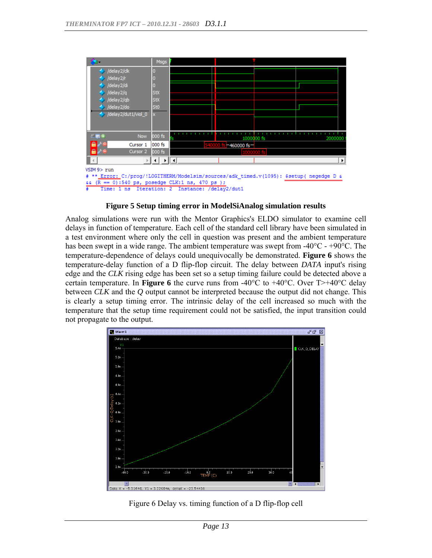

#### **Figure 5 Setup timing error in ModelSiAnalog simulation results**

Analog simulations were run with the Mentor Graphics's ELDO simulator to examine cell delays in function of temperature. Each cell of the standard cell library have been simulated in a test environment where only the cell in question was present and the ambient temperature has been swept in a wide range. The ambient temperature was swept from -40°C - +90°C. The temperature-dependence of delays could unequivocally be demonstrated. **Figure 6** shows the temperature-delay function of a D flip-flop circuit. The delay between *DATA* input's rising edge and the *CLK* rising edge has been set so a setup timing failure could be detected above a certain temperature. In **Figure 6** the curve runs from  $-40^{\circ}$ C to  $+40^{\circ}$ C. Over  $T$ > $+40^{\circ}$ C delay between *CLK* and the *Q* output cannot be interpreted because the output did not change. This is clearly a setup timing error. The intrinsic delay of the cell increased so much with the temperature that the setup time requirement could not be satisfied, the input transition could not propagate to the output.



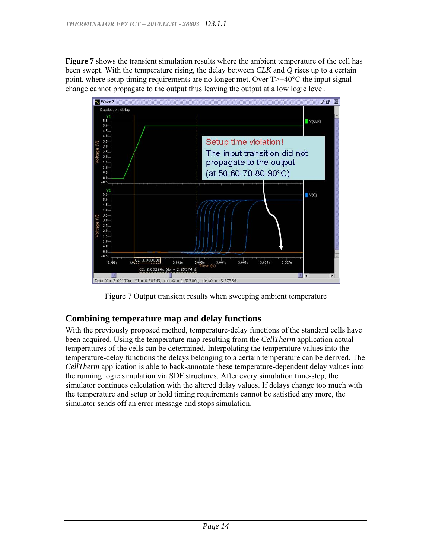**Figure 7** shows the transient simulation results where the ambient temperature of the cell has been swept. With the temperature rising, the delay between *CLK* and *Q* rises up to a certain point, where setup timing requirements are no longer met. Over T>+40°C the input signal change cannot propagate to the output thus leaving the output at a low logic level.





#### **Combining temperature map and delay functions**

With the previously proposed method, temperature-delay functions of the standard cells have been acquired. Using the temperature map resulting from the *CellTherm* application actual temperatures of the cells can be determined. Interpolating the temperature values into the temperature-delay functions the delays belonging to a certain temperature can be derived. The *CellTherm* application is able to back-annotate these temperature-dependent delay values into the running logic simulation via SDF structures. After every simulation time-step, the simulator continues calculation with the altered delay values. If delays change too much with the temperature and setup or hold timing requirements cannot be satisfied any more, the simulator sends off an error message and stops simulation.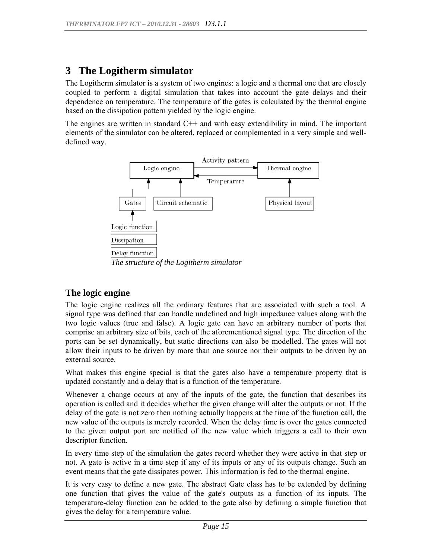# **3 The Logitherm simulator**

The Logitherm simulator is a system of two engines: a logic and a thermal one that are closely coupled to perform a digital simulation that takes into account the gate delays and their dependence on temperature. The temperature of the gates is calculated by the thermal engine based on the dissipation pattern yielded by the logic engine.

The engines are written in standard  $C++$  and with easy extendibility in mind. The important elements of the simulator can be altered, replaced or complemented in a very simple and welldefined way.



#### **The logic engine**

The logic engine realizes all the ordinary features that are associated with such a tool. A signal type was defined that can handle undefined and high impedance values along with the two logic values (true and false). A logic gate can have an arbitrary number of ports that comprise an arbitrary size of bits, each of the aforementioned signal type. The direction of the ports can be set dynamically, but static directions can also be modelled. The gates will not allow their inputs to be driven by more than one source nor their outputs to be driven by an external source.

What makes this engine special is that the gates also have a temperature property that is updated constantly and a delay that is a function of the temperature.

Whenever a change occurs at any of the inputs of the gate, the function that describes its operation is called and it decides whether the given change will alter the outputs or not. If the delay of the gate is not zero then nothing actually happens at the time of the function call, the new value of the outputs is merely recorded. When the delay time is over the gates connected to the given output port are notified of the new value which triggers a call to their own descriptor function.

In every time step of the simulation the gates record whether they were active in that step or not. A gate is active in a time step if any of its inputs or any of its outputs change. Such an event means that the gate dissipates power. This information is fed to the thermal engine.

It is very easy to define a new gate. The abstract Gate class has to be extended by defining one function that gives the value of the gate's outputs as a function of its inputs. The temperature-delay function can be added to the gate also by defining a simple function that gives the delay for a temperature value.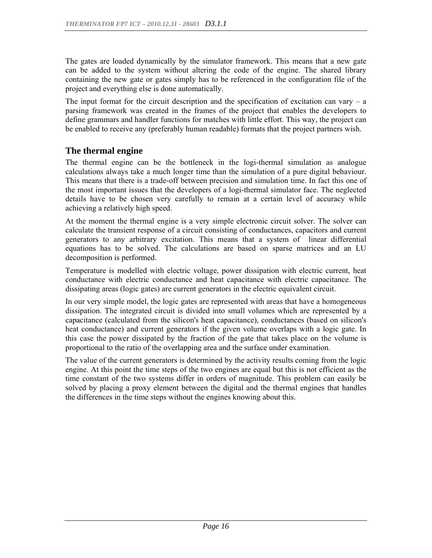The gates are loaded dynamically by the simulator framework. This means that a new gate can be added to the system without altering the code of the engine. The shared library containing the new gate or gates simply has to be referenced in the configuration file of the project and everything else is done automatically.

The input format for the circuit description and the specification of excitation can vary  $- a$ parsing framework was created in the frames of the project that enables the developers to define grammars and handler functions for matches with little effort. This way, the project can be enabled to receive any (preferably human readable) formats that the project partners wish.

#### **The thermal engine**

The thermal engine can be the bottleneck in the logi-thermal simulation as analogue calculations always take a much longer time than the simulation of a pure digital behaviour. This means that there is a trade-off between precision and simulation time. In fact this one of the most important issues that the developers of a logi-thermal simulator face. The neglected details have to be chosen very carefully to remain at a certain level of accuracy while achieving a relatively high speed.

At the moment the thermal engine is a very simple electronic circuit solver. The solver can calculate the transient response of a circuit consisting of conductances, capacitors and current generators to any arbitrary excitation. This means that a system of linear differential equations has to be solved. The calculations are based on sparse matrices and an LU decomposition is performed.

Temperature is modelled with electric voltage, power dissipation with electric current, heat conductance with electric conductance and heat capacitance with electric capacitance. The dissipating areas (logic gates) are current generators in the electric equivalent circuit.

In our very simple model, the logic gates are represented with areas that have a homogeneous dissipation. The integrated circuit is divided into small volumes which are represented by a capacitance (calculated from the silicon's heat capacitance), conductances (based on silicon's heat conductance) and current generators if the given volume overlaps with a logic gate. In this case the power dissipated by the fraction of the gate that takes place on the volume is proportional to the ratio of the overlapping area and the surface under examination.

The value of the current generators is determined by the activity results coming from the logic engine. At this point the time steps of the two engines are equal but this is not efficient as the time constant of the two systems differ in orders of magnitude. This problem can easily be solved by placing a proxy element between the digital and the thermal engines that handles the differences in the time steps without the engines knowing about this.